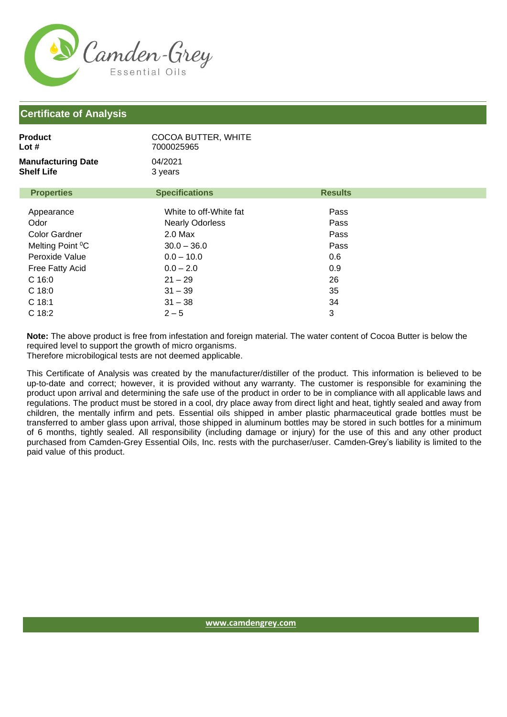

## **Certificate of Analysis**

| Product<br>Lot #<br><b>Manufacturing Date</b><br><b>Shelf Life</b> | COCOA BUTTER, WHITE<br>7000025965<br>04/2021<br>3 years |                |  |
|--------------------------------------------------------------------|---------------------------------------------------------|----------------|--|
| <b>Properties</b>                                                  | <b>Specifications</b>                                   | <b>Results</b> |  |
| Appearance                                                         | White to off-White fat                                  | Pass           |  |
| Odor                                                               | <b>Nearly Odorless</b>                                  | Pass           |  |
| <b>Color Gardner</b>                                               | $2.0$ Max                                               | Pass           |  |
| Melting Point <sup>o</sup> C                                       | $30.0 - 36.0$                                           | Pass           |  |
| Peroxide Value                                                     | $0.0 - 10.0$                                            | 0.6            |  |
| Free Fatty Acid                                                    | $0.0 - 2.0$                                             | 0.9            |  |
| $C$ 16:0                                                           | $21 - 29$                                               | 26             |  |
| $C$ 18:0                                                           | $31 - 39$                                               | 35             |  |
| C 18:1                                                             | $31 - 38$                                               | 34             |  |
| C 18:2                                                             | $2 - 5$                                                 | 3              |  |

**Note:** The above product is free from infestation and foreign material. The water content of Cocoa Butter is below the required level to support the growth of micro organisms.

Therefore microbilogical tests are not deemed applicable.

This Certificate of Analysis was created by the manufacturer/distiller of the product. This information is believed to be up-to-date and correct; however, it is provided without any warranty. The customer is responsible for examining the product upon arrival and determining the safe use of the product in order to be in compliance with all applicable laws and regulations. The product must be stored in a cool, dry place away from direct light and heat, tightly sealed and away from children, the mentally infirm and pets. Essential oils shipped in amber plastic pharmaceutical grade bottles must be transferred to amber glass upon arrival, those shipped in aluminum bottles may be stored in such bottles for a minimum of 6 months, tightly sealed. All responsibility (including damage or injury) for the use of this and any other product purchased from Camden-Grey Essential Oils, Inc. rests with the purchaser/user. Camden-Grey's liability is limited to the paid value of this product.